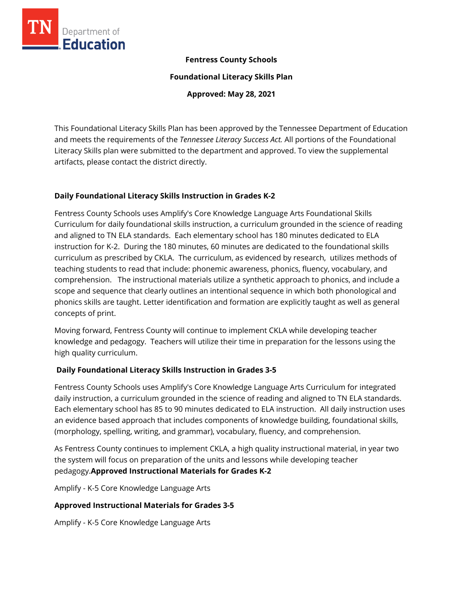

#### **Fentress County Schools**

**Foundational Literacy Skills Plan**

**Approved: May 28, 2021**

This Foundational Literacy Skills Plan has been approved by the Tennessee Department of Education and meets the requirements of the *Tennessee Literacy Success Act.* All portions of the Foundational Literacy Skills plan were submitted to the department and approved. To view the supplemental artifacts, please contact the district directly.

#### **Daily Foundational Literacy Skills Instruction in Grades K-2**

Fentress County Schools uses Amplify's Core Knowledge Language Arts Foundational Skills Curriculum for daily foundational skills instruction, a curriculum grounded in the science of reading and aligned to TN ELA standards. Each elementary school has 180 minutes dedicated to ELA instruction for K-2. During the 180 minutes, 60 minutes are dedicated to the foundational skills curriculum as prescribed by CKLA. The curriculum, as evidenced by research, utilizes methods of teaching students to read that include: phonemic awareness, phonics, fluency, vocabulary, and comprehension. The instructional materials utilize a synthetic approach to phonics, and include a scope and sequence that clearly outlines an intentional sequence in which both phonological and phonics skills are taught. Letter identification and formation are explicitly taught as well as general concepts of print.

Moving forward, Fentress County will continue to implement CKLA while developing teacher knowledge and pedagogy. Teachers will utilize their time in preparation for the lessons using the high quality curriculum.

# **Daily Foundational Literacy Skills Instruction in Grades 3-5**

Fentress County Schools uses Amplify's Core Knowledge Language Arts Curriculum for integrated daily instruction, a curriculum grounded in the science of reading and aligned to TN ELA standards. Each elementary school has 85 to 90 minutes dedicated to ELA instruction. All daily instruction uses an evidence based approach that includes components of knowledge building, foundational skills, (morphology, spelling, writing, and grammar), vocabulary, fluency, and comprehension.

As Fentress County continues to implement CKLA, a high quality instructional material, in year two the system will focus on preparation of the units and lessons while developing teacher pedagogy.**Approved Instructional Materials for Grades K-2**

Amplify - K-5 Core Knowledge Language Arts

# **Approved Instructional Materials for Grades 3-5**

Amplify - K-5 Core Knowledge Language Arts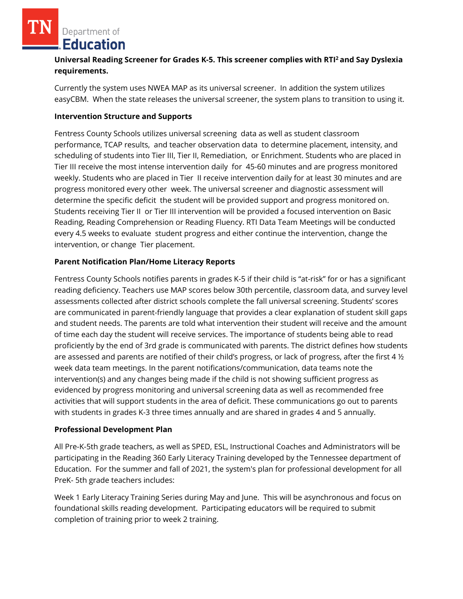Department of **Education** 

# **Universal Reading Screener for Grades K-5. This screener complies with RTI<sup>2</sup>and Say Dyslexia requirements.**

Currently the system uses NWEA MAP as its universal screener. In addition the system utilizes easyCBM. When the state releases the universal screener, the system plans to transition to using it.

### **Intervention Structure and Supports**

Fentress County Schools utilizes universal screening data as well as student classroom performance, TCAP results, and teacher observation data to determine placement, intensity, and scheduling of students into Tier III, Tier II, Remediation, or Enrichment. Students who are placed in Tier III receive the most intense intervention daily for 45-60 minutes and are progress monitored weekly. Students who are placed in Tier II receive intervention daily for at least 30 minutes and are progress monitored every other week. The universal screener and diagnostic assessment will determine the specific deficit the student will be provided support and progress monitored on. Students receiving Tier II or Tier III intervention will be provided a focused intervention on Basic Reading, Reading Comprehension or Reading Fluency. RTI Data Team Meetings will be conducted every 4.5 weeks to evaluate student progress and either continue the intervention, change the intervention, or change Tier placement.

### **Parent Notification Plan/Home Literacy Reports**

Fentress County Schools notifies parents in grades K-5 if their child is "at-risk" for or has a significant reading deficiency. Teachers use MAP scores below 30th percentile, classroom data, and survey level assessments collected after district schools complete the fall universal screening. Students' scores are communicated in parent-friendly language that provides a clear explanation of student skill gaps and student needs. The parents are told what intervention their student will receive and the amount of time each day the student will receive services. The importance of students being able to read proficiently by the end of 3rd grade is communicated with parents. The district defines how students are assessed and parents are notified of their child's progress, or lack of progress, after the first 4 ½ week data team meetings. In the parent notifications/communication, data teams note the intervention(s) and any changes being made if the child is not showing sufficient progress as evidenced by progress monitoring and universal screening data as well as recommended free activities that will support students in the area of deficit. These communications go out to parents with students in grades K-3 three times annually and are shared in grades 4 and 5 annually.

#### **Professional Development Plan**

All Pre-K-5th grade teachers, as well as SPED, ESL, Instructional Coaches and Administrators will be participating in the Reading 360 Early Literacy Training developed by the Tennessee department of Education. For the summer and fall of 2021, the system's plan for professional development for all PreK- 5th grade teachers includes:

Week 1 Early Literacy Training Series during May and June. This will be asynchronous and focus on foundational skills reading development. Participating educators will be required to submit completion of training prior to week 2 training.